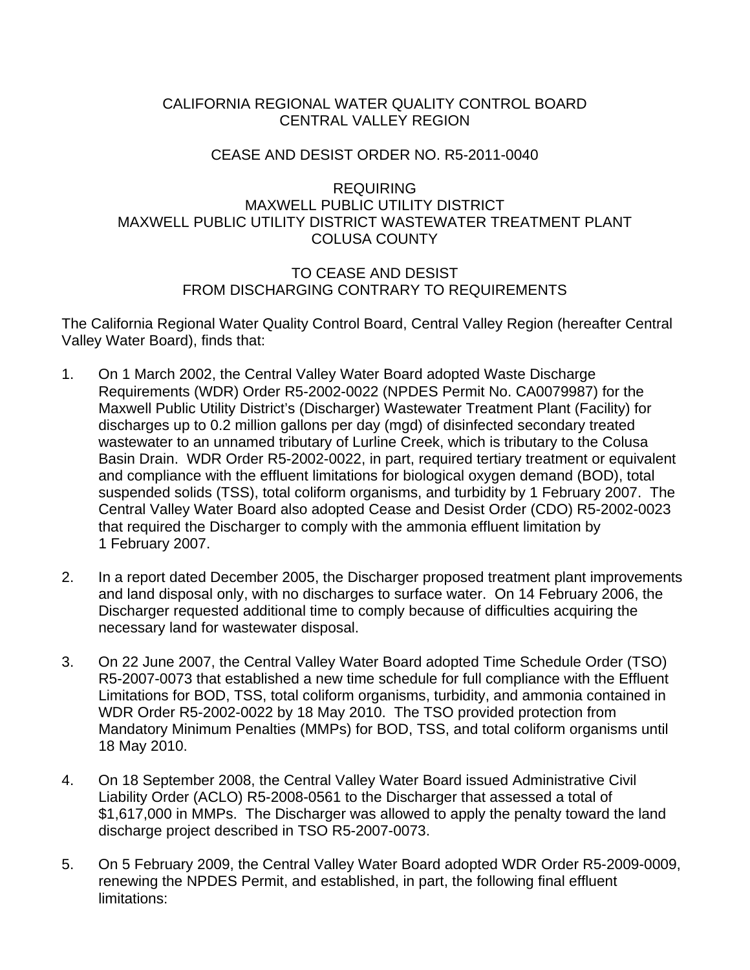# CALIFORNIA REGIONAL WATER QUALITY CONTROL BOARD CENTRAL VALLEY REGION

# CEASE AND DESIST ORDER NO. R5-2011-0040

## REQUIRING MAXWELL PUBLIC UTILITY DISTRICT MAXWELL PUBLIC UTILITY DISTRICT WASTEWATER TREATMENT PLANT COLUSA COUNTY

## TO CEASE AND DESIST FROM DISCHARGING CONTRARY TO REQUIREMENTS

The California Regional Water Quality Control Board, Central Valley Region (hereafter Central Valley Water Board), finds that:

- 1. On 1 March 2002, the Central Valley Water Board adopted Waste Discharge Requirements (WDR) Order R5-2002-0022 (NPDES Permit No. CA0079987) for the Maxwell Public Utility District's (Discharger) Wastewater Treatment Plant (Facility) for discharges up to 0.2 million gallons per day (mgd) of disinfected secondary treated wastewater to an unnamed tributary of Lurline Creek, which is tributary to the Colusa Basin Drain. WDR Order R5-2002-0022, in part, required tertiary treatment or equivalent and compliance with the effluent limitations for biological oxygen demand (BOD), total suspended solids (TSS), total coliform organisms, and turbidity by 1 February 2007. The Central Valley Water Board also adopted Cease and Desist Order (CDO) R5-2002-0023 that required the Discharger to comply with the ammonia effluent limitation by 1 February 2007.
- 2. In a report dated December 2005, the Discharger proposed treatment plant improvements and land disposal only, with no discharges to surface water. On 14 February 2006, the Discharger requested additional time to comply because of difficulties acquiring the necessary land for wastewater disposal.
- 3. On 22 June 2007, the Central Valley Water Board adopted Time Schedule Order (TSO) R5-2007-0073 that established a new time schedule for full compliance with the Effluent Limitations for BOD, TSS, total coliform organisms, turbidity, and ammonia contained in WDR Order R5-2002-0022 by 18 May 2010. The TSO provided protection from Mandatory Minimum Penalties (MMPs) for BOD, TSS, and total coliform organisms until 18 May 2010.
- 4. On 18 September 2008, the Central Valley Water Board issued Administrative Civil Liability Order (ACLO) R5-2008-0561 to the Discharger that assessed a total of \$1,617,000 in MMPs. The Discharger was allowed to apply the penalty toward the land discharge project described in TSO R5-2007-0073.
- 5. On 5 February 2009, the Central Valley Water Board adopted WDR Order R5-2009-0009, renewing the NPDES Permit, and established, in part, the following final effluent limitations: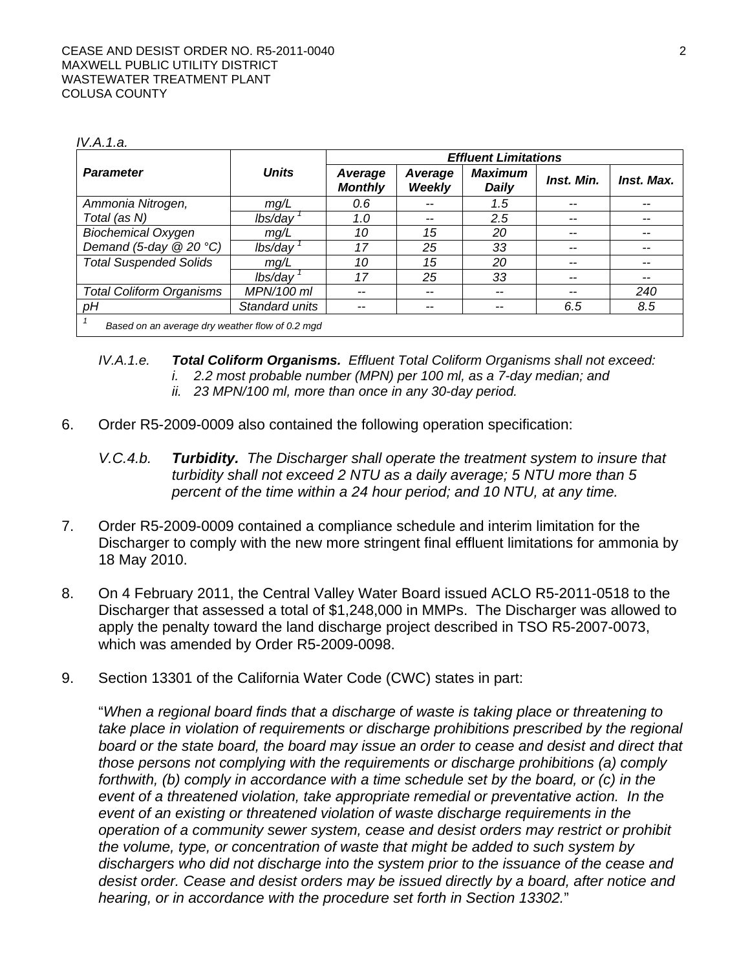#### *IV.A.1.a.*

|                                                 |                | <b>Effluent Limitations</b> |                   |                                |            |            |  |  |
|-------------------------------------------------|----------------|-----------------------------|-------------------|--------------------------------|------------|------------|--|--|
| <b>Parameter</b>                                | <b>Units</b>   | Average<br><b>Monthly</b>   | Average<br>Weekly | <b>Maximum</b><br><b>Daily</b> | Inst. Min. | Inst. Max. |  |  |
| Ammonia Nitrogen,                               | mg/L           | 0.6                         | --                | 1.5                            | --         | --         |  |  |
| Total (as N)                                    | lbs/day        | 1.0                         | --                | 2.5                            |            | --         |  |  |
| <b>Biochemical Oxygen</b>                       | mg/L           | 10                          | 15                | 20                             |            |            |  |  |
| Demand (5-day $@$ 20 °C)                        | lbs/day        | 17                          | 25                | 33                             |            |            |  |  |
| <b>Total Suspended Solids</b>                   | mg/L           | 10                          | 15                | 20                             |            |            |  |  |
|                                                 | lbs/day        | 17                          | 25                | 33                             | --         | --         |  |  |
| <b>Total Coliform Organisms</b>                 | MPN/100 ml     |                             | --                |                                |            | 240        |  |  |
| рH                                              | Standard units |                             |                   |                                | 6.5        | 8.5        |  |  |
| Based on an average dry weather flow of 0.2 mgd |                |                             |                   |                                |            |            |  |  |

#### *IV.A.1.e. Total Coliform Organisms. Effluent Total Coliform Organisms shall not exceed: i. 2.2 most probable number (MPN) per 100 ml, as a 7-day median; and ii. 23 MPN/100 ml, more than once in any 30-day period.*

- 6. Order R5-2009-0009 also contained the following operation specification:
	- *V.C.4.b. Turbidity. The Discharger shall operate the treatment system to insure that turbidity shall not exceed 2 NTU as a daily average; 5 NTU more than 5 percent of the time within a 24 hour period; and 10 NTU, at any time.*
- 7. Order R5-2009-0009 contained a compliance schedule and interim limitation for the Discharger to comply with the new more stringent final effluent limitations for ammonia by 18 May 2010.
- 8. On 4 February 2011, the Central Valley Water Board issued ACLO R5-2011-0518 to the Discharger that assessed a total of \$1,248,000 in MMPs. The Discharger was allowed to apply the penalty toward the land discharge project described in TSO R5-2007-0073, which was amended by Order R5-2009-0098.
- 9. Section 13301 of the California Water Code (CWC) states in part:

"*When a regional board finds that a discharge of waste is taking place or threatening to take place in violation of requirements or discharge prohibitions prescribed by the regional board or the state board, the board may issue an order to cease and desist and direct that those persons not complying with the requirements or discharge prohibitions (a) comply forthwith, (b) comply in accordance with a time schedule set by the board, or (c) in the event of a threatened violation, take appropriate remedial or preventative action. In the event of an existing or threatened violation of waste discharge requirements in the operation of a community sewer system, cease and desist orders may restrict or prohibit the volume, type, or concentration of waste that might be added to such system by dischargers who did not discharge into the system prior to the issuance of the cease and desist order. Cease and desist orders may be issued directly by a board, after notice and hearing, or in accordance with the procedure set forth in Section 13302.*"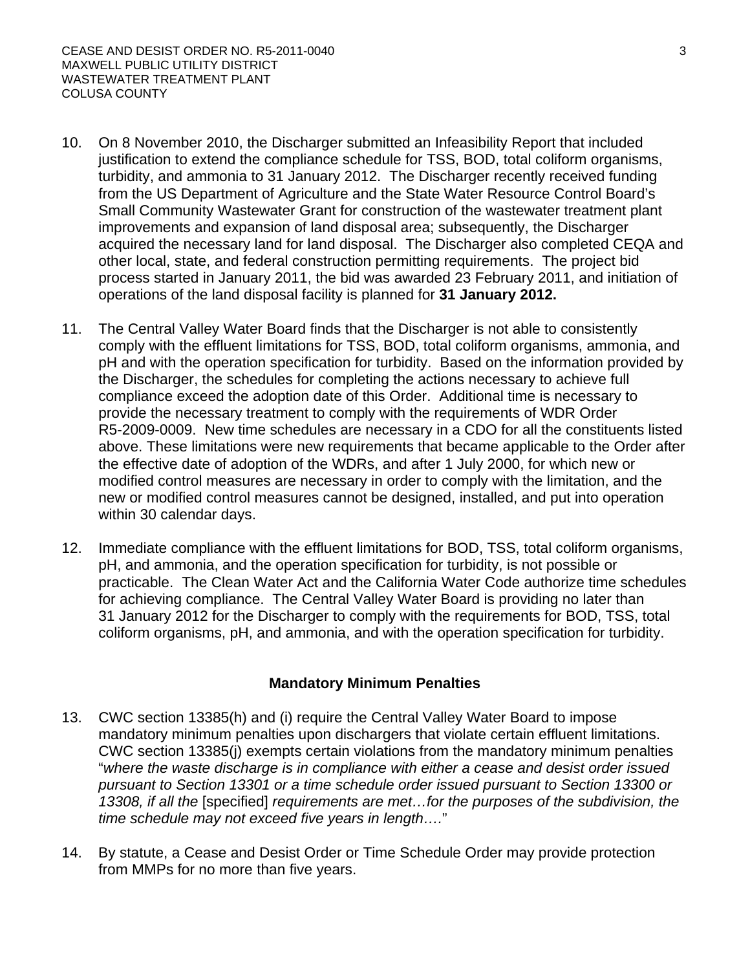- 10. On 8 November 2010, the Discharger submitted an Infeasibility Report that included justification to extend the compliance schedule for TSS, BOD, total coliform organisms, turbidity, and ammonia to 31 January 2012. The Discharger recently received funding from the US Department of Agriculture and the State Water Resource Control Board's Small Community Wastewater Grant for construction of the wastewater treatment plant improvements and expansion of land disposal area; subsequently, the Discharger acquired the necessary land for land disposal. The Discharger also completed CEQA and other local, state, and federal construction permitting requirements. The project bid process started in January 2011, the bid was awarded 23 February 2011, and initiation of operations of the land disposal facility is planned for **31 January 2012.**
- 11. The Central Valley Water Board finds that the Discharger is not able to consistently comply with the effluent limitations for TSS, BOD, total coliform organisms, ammonia, and pH and with the operation specification for turbidity. Based on the information provided by the Discharger, the schedules for completing the actions necessary to achieve full compliance exceed the adoption date of this Order. Additional time is necessary to provide the necessary treatment to comply with the requirements of WDR Order R5-2009-0009. New time schedules are necessary in a CDO for all the constituents listed above. These limitations were new requirements that became applicable to the Order after the effective date of adoption of the WDRs, and after 1 July 2000, for which new or modified control measures are necessary in order to comply with the limitation, and the new or modified control measures cannot be designed, installed, and put into operation within 30 calendar days.
- 12. Immediate compliance with the effluent limitations for BOD, TSS, total coliform organisms, pH, and ammonia, and the operation specification for turbidity, is not possible or practicable. The Clean Water Act and the California Water Code authorize time schedules for achieving compliance. The Central Valley Water Board is providing no later than 31 January 2012 for the Discharger to comply with the requirements for BOD, TSS, total coliform organisms, pH, and ammonia, and with the operation specification for turbidity.

# **Mandatory Minimum Penalties**

- 13. CWC section 13385(h) and (i) require the Central Valley Water Board to impose mandatory minimum penalties upon dischargers that violate certain effluent limitations. CWC section 13385(j) exempts certain violations from the mandatory minimum penalties "*where the waste discharge is in compliance with either a cease and desist order issued pursuant to Section 13301 or a time schedule order issued pursuant to Section 13300 or 13308, if all the* [specified] *requirements are met…for the purposes of the subdivision, the time schedule may not exceed five years in length….*"
- 14. By statute, a Cease and Desist Order or Time Schedule Order may provide protection from MMPs for no more than five years.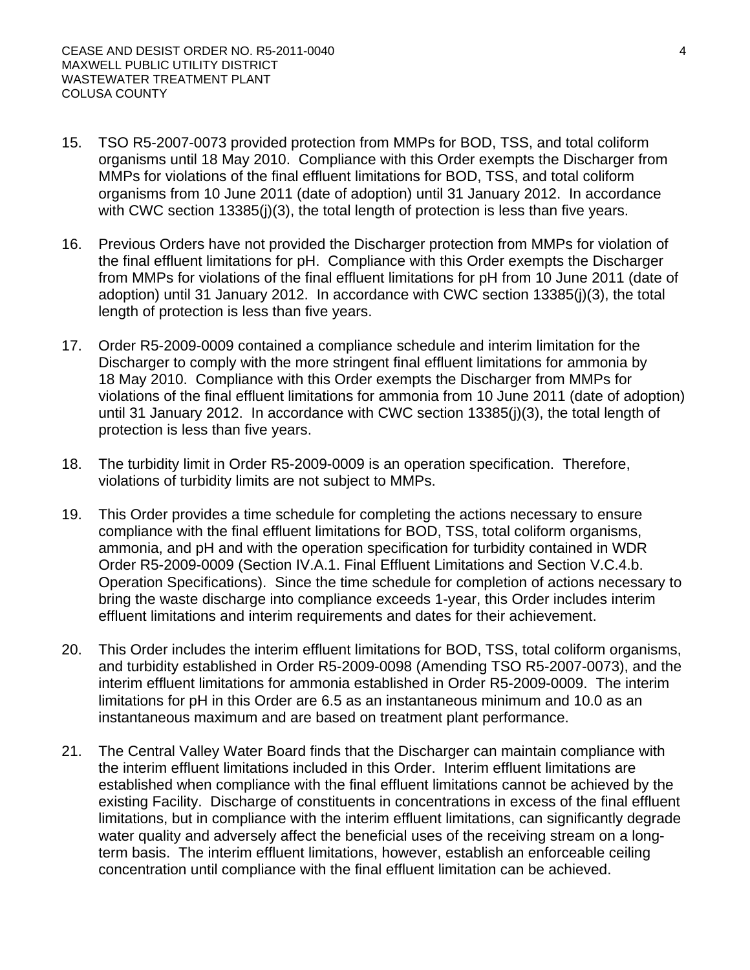- 15. TSO R5-2007-0073 provided protection from MMPs for BOD, TSS, and total coliform organisms until 18 May 2010. Compliance with this Order exempts the Discharger from MMPs for violations of the final effluent limitations for BOD, TSS, and total coliform organisms from 10 June 2011 (date of adoption) until 31 January 2012. In accordance with CWC section 13385(i)(3), the total length of protection is less than five years.
- 16. Previous Orders have not provided the Discharger protection from MMPs for violation of the final effluent limitations for pH. Compliance with this Order exempts the Discharger from MMPs for violations of the final effluent limitations for pH from 10 June 2011 (date of adoption) until 31 January 2012. In accordance with CWC section 13385(j)(3), the total length of protection is less than five years.
- 17. Order R5-2009-0009 contained a compliance schedule and interim limitation for the Discharger to comply with the more stringent final effluent limitations for ammonia by 18 May 2010. Compliance with this Order exempts the Discharger from MMPs for violations of the final effluent limitations for ammonia from 10 June 2011 (date of adoption) until 31 January 2012. In accordance with CWC section 13385(j)(3), the total length of protection is less than five years.
- 18. The turbidity limit in Order R5-2009-0009 is an operation specification. Therefore, violations of turbidity limits are not subject to MMPs.
- 19. This Order provides a time schedule for completing the actions necessary to ensure compliance with the final effluent limitations for BOD, TSS, total coliform organisms, ammonia, and pH and with the operation specification for turbidity contained in WDR Order R5-2009-0009 (Section IV.A.1. Final Effluent Limitations and Section V.C.4.b. Operation Specifications). Since the time schedule for completion of actions necessary to bring the waste discharge into compliance exceeds 1-year, this Order includes interim effluent limitations and interim requirements and dates for their achievement.
- 20. This Order includes the interim effluent limitations for BOD, TSS, total coliform organisms, and turbidity established in Order R5-2009-0098 (Amending TSO R5-2007-0073), and the interim effluent limitations for ammonia established in Order R5-2009-0009. The interim limitations for pH in this Order are 6.5 as an instantaneous minimum and 10.0 as an instantaneous maximum and are based on treatment plant performance.
- 21. The Central Valley Water Board finds that the Discharger can maintain compliance with the interim effluent limitations included in this Order. Interim effluent limitations are established when compliance with the final effluent limitations cannot be achieved by the existing Facility. Discharge of constituents in concentrations in excess of the final effluent limitations, but in compliance with the interim effluent limitations, can significantly degrade water quality and adversely affect the beneficial uses of the receiving stream on a longterm basis. The interim effluent limitations, however, establish an enforceable ceiling concentration until compliance with the final effluent limitation can be achieved.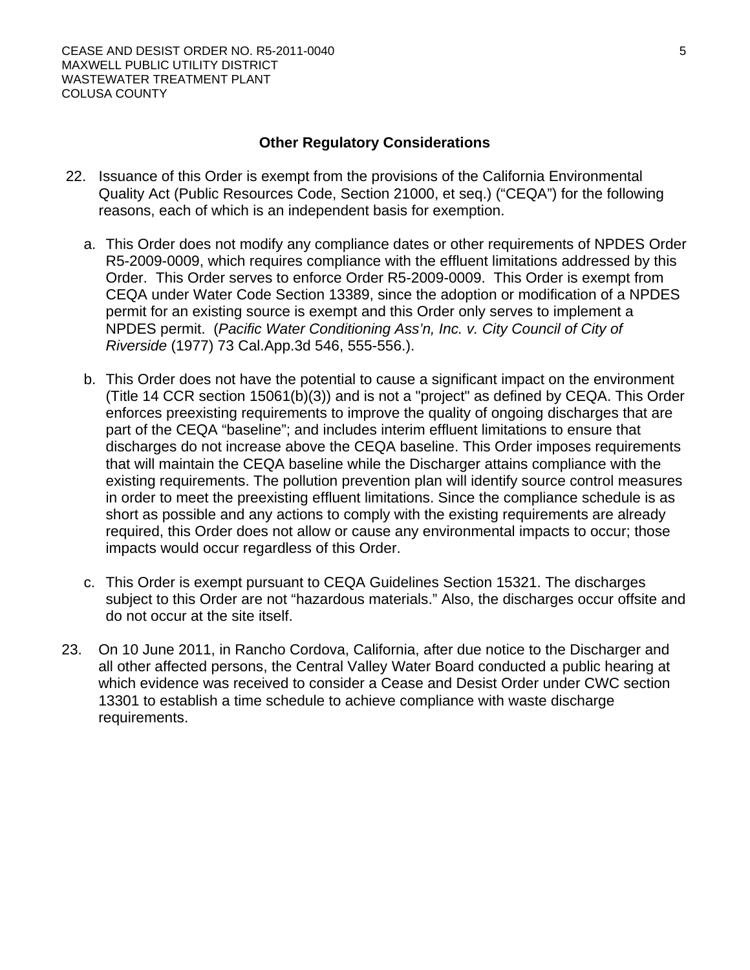### **Other Regulatory Considerations**

- 22. Issuance of this Order is exempt from the provisions of the California Environmental Quality Act (Public Resources Code, Section 21000, et seq.) ("CEQA") for the following reasons, each of which is an independent basis for exemption.
	- a. This Order does not modify any compliance dates or other requirements of NPDES Order R5-2009-0009, which requires compliance with the effluent limitations addressed by this Order. This Order serves to enforce Order R5-2009-0009. This Order is exempt from CEQA under Water Code Section 13389, since the adoption or modification of a NPDES permit for an existing source is exempt and this Order only serves to implement a NPDES permit. (*Pacific Water Conditioning Ass'n, Inc. v. City Council of City of Riverside* (1977) 73 Cal.App.3d 546, 555-556.).
	- b. This Order does not have the potential to cause a significant impact on the environment (Title 14 CCR section 15061(b)(3)) and is not a "project" as defined by CEQA. This Order enforces preexisting requirements to improve the quality of ongoing discharges that are part of the CEQA "baseline"; and includes interim effluent limitations to ensure that discharges do not increase above the CEQA baseline. This Order imposes requirements that will maintain the CEQA baseline while the Discharger attains compliance with the existing requirements. The pollution prevention plan will identify source control measures in order to meet the preexisting effluent limitations. Since the compliance schedule is as short as possible and any actions to comply with the existing requirements are already required, this Order does not allow or cause any environmental impacts to occur; those impacts would occur regardless of this Order.
	- c. This Order is exempt pursuant to CEQA Guidelines Section 15321. The discharges subject to this Order are not "hazardous materials." Also, the discharges occur offsite and do not occur at the site itself.
- 23. On 10 June 2011, in Rancho Cordova, California, after due notice to the Discharger and all other affected persons, the Central Valley Water Board conducted a public hearing at which evidence was received to consider a Cease and Desist Order under CWC section 13301 to establish a time schedule to achieve compliance with waste discharge requirements.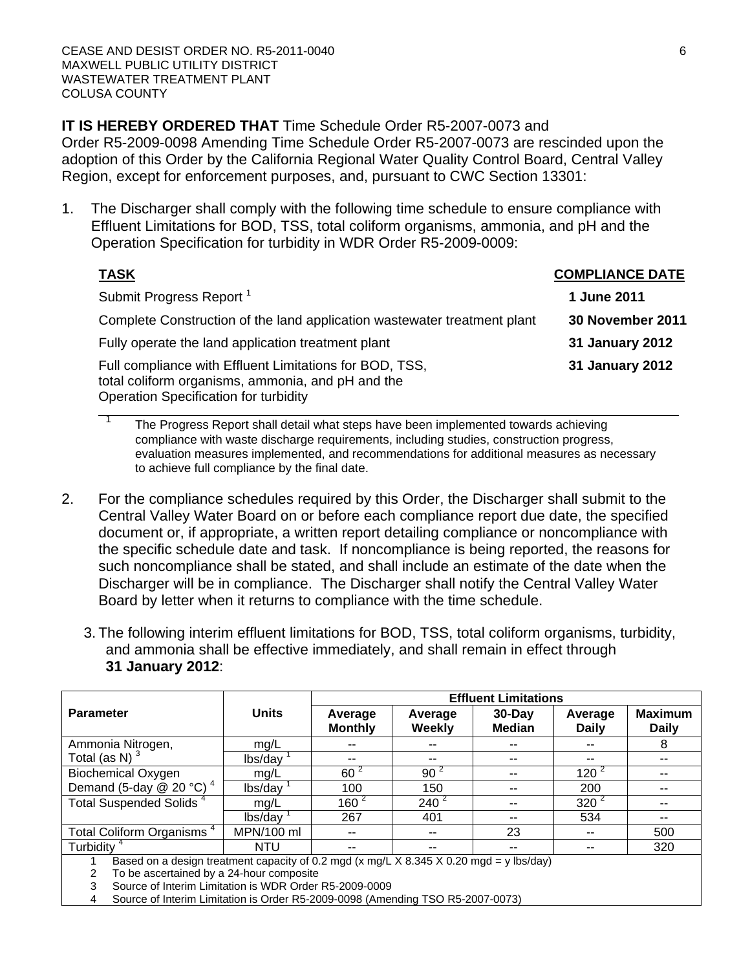**IT IS HEREBY ORDERED THAT** Time Schedule Order R5-2007-0073 and

Order R5-2009-0098 Amending Time Schedule Order R5-2007-0073 are rescinded upon the adoption of this Order by the California Regional Water Quality Control Board, Central Valley Region, except for enforcement purposes, and, pursuant to CWC Section 13301:

1. The Discharger shall comply with the following time schedule to ensure compliance with Effluent Limitations for BOD, TSS, total coliform organisms, ammonia, and pH and the Operation Specification for turbidity in WDR Order R5-2009-0009:

| <b>TASK</b>                                                                                                                                           | <b>COMPLIANCE DATE</b>  |
|-------------------------------------------------------------------------------------------------------------------------------------------------------|-------------------------|
| Submit Progress Report <sup>1</sup>                                                                                                                   | 1 June 2011             |
| Complete Construction of the land application wastewater treatment plant                                                                              | <b>30 November 2011</b> |
| Fully operate the land application treatment plant                                                                                                    | 31 January 2012         |
| Full compliance with Effluent Limitations for BOD, TSS,<br>total coliform organisms, ammonia, and pH and the<br>Operation Specification for turbidity | <b>31 January 2012</b>  |

The Progress Report shall detail what steps have been implemented towards achieving compliance with waste discharge requirements, including studies, construction progress, evaluation measures implemented, and recommendations for additional measures as necessary to achieve full compliance by the final date.

- 2. For the compliance schedules required by this Order, the Discharger shall submit to the Central Valley Water Board on or before each compliance report due date, the specified document or, if appropriate, a written report detailing compliance or noncompliance with the specific schedule date and task. If noncompliance is being reported, the reasons for such noncompliance shall be stated, and shall include an estimate of the date when the Discharger will be in compliance. The Discharger shall notify the Central Valley Water Board by letter when it returns to compliance with the time schedule.
	- 3. The following interim effluent limitations for BOD, TSS, total coliform organisms, turbidity, and ammonia shall be effective immediately, and shall remain in effect through **31 January 2012**:

|                                                                                                       |              | <b>Effluent Limitations</b> |                          |                            |                         |                                |  |  |
|-------------------------------------------------------------------------------------------------------|--------------|-----------------------------|--------------------------|----------------------------|-------------------------|--------------------------------|--|--|
| <b>Parameter</b>                                                                                      | <b>Units</b> | Average<br><b>Monthly</b>   | Average<br><b>Weekly</b> | $30$ -Day<br><b>Median</b> | Average<br><b>Daily</b> | <b>Maximum</b><br><b>Daily</b> |  |  |
| Ammonia Nitrogen,                                                                                     | mg/L         | --                          | --                       | --                         | --                      | 8                              |  |  |
| Total (as N) $3$                                                                                      | lbs/day      | $- -$                       | --                       | --                         | $-$                     | $- -$                          |  |  |
| <b>Biochemical Oxygen</b>                                                                             | mg/L         | $60^{2}$                    | 90 <sup>2</sup>          | $\sim$ $\sim$              | $120^{2}$               | $-$                            |  |  |
| Demand (5-day $@$ 20 °C) <sup>4</sup>                                                                 | lbs/day      | 100                         | 150                      | $\sim$ $\sim$              | 200                     | $ -$                           |  |  |
| Total Suspended Solids <sup>4</sup>                                                                   | mg/L         | $160^{2}$                   | $240^2$                  | --                         | $320^{2}$               | $ -$                           |  |  |
|                                                                                                       | lbs/day      | 267                         | 401                      | --                         | 534                     | $-$                            |  |  |
| Total Coliform Organisms <sup>4</sup>                                                                 | MPN/100 ml   | $\sim$ $\sim$               | $\sim$ $\sim$            | 23                         | $- -$                   | 500                            |  |  |
| Turbidity <sup>4</sup>                                                                                | NTU          | $- -$                       | $\sim$ $\sim$            | $\sim$ $\sim$              | $- -$                   | 320                            |  |  |
| Based on a design treatment capacity of 0.2 mgd (x mg/L $\times$ 8.345 $\times$ 0.20 mgd = y lbs/day) |              |                             |                          |                            |                         |                                |  |  |

1 Based on a design treatment capacity of 0.2 mgd (x mg/L X 8.345 X 0.20 mgd = y lbs/day)

2 To be ascertained by a 24-hour composite

3 Source of Interim Limitation is WDR Order R5-2009-0009

4 Source of Interim Limitation is Order R5-2009-0098 (Amending TSO R5-2007-0073)